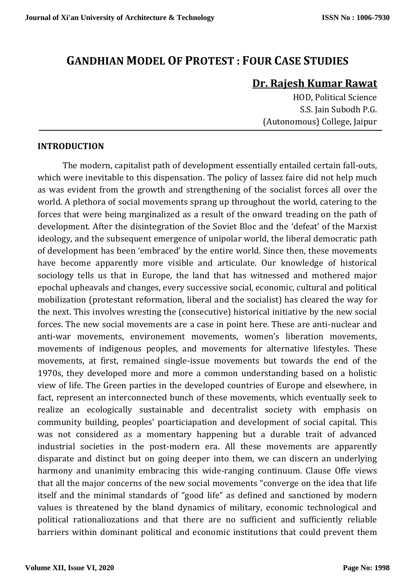# **GANDHIAN MODEL OF PROTEST : FOUR CASE STUDIES**

# **Dr. Rajesh Kumar Rawat**

HOD, Political Science S.S. Jain Subodh P.G. (Autonomous) College, Jaipur

#### **INTRODUCTION**

The modern, capitalist path of development essentially entailed certain fall-outs, which were inevitable to this dispensation. The policy of lassez faire did not help much as was evident from the growth and strengthening of the socialist forces all over the world. A plethora of social movements sprang up throughout the world, catering to the forces that were being marginalized as a result of the onward treading on the path of development. After the disintegration of the Soviet Bloc and the 'defeat' of the Marxist ideology, and the subsequent emergence of unipolar world, the liberal democratic path of development has been 'embraced' by the entire world. Since then, these movements have become apparently more visible and articulate. Our knowledge of historical sociology tells us that in Europe, the land that has witnessed and mothered major epochal upheavals and changes, every successive social, economic, cultural and political mobilization (protestant reformation, liberal and the socialist) has cleared the way for the next. This involves wresting the (consecutive) historical initiative by the new social forces. The new social movements are a case in point here. These are anti-nuclear and anti-war movements, environement movements, women's liberation movements, movements of indigenous peoples, and movements for alternative lifestyles. These movements, at first, remained single-issue movements but towards the end of the 1970s, they developed more and more a common understanding based on a holistic view of life. The Green parties in the developed countries of Europe and elsewhere, in fact, represent an interconnected bunch of these movements, which eventually seek to realize an ecologically sustainable and decentralist society with emphasis on community building, peoples' poarticiapation and development of social capital. This was not considered as a momentary happening but a durable trait of advanced industrial societies in the post-modern era. All these movements are apparently disparate and distinct but on going deeper into them, we can discern an underlying harmony and unanimity embracing this wide-ranging continuum. Clause Offe views that all the major concerns of the new social movements "converge on the idea that life itself and the minimal standards of "good life" as defined and sanctioned by modern values is threatened by the bland dynamics of military, economic technological and political rationaliozations and that there are no sufficient and sufficiently reliable barriers within dominant political and economic institutions that could prevent them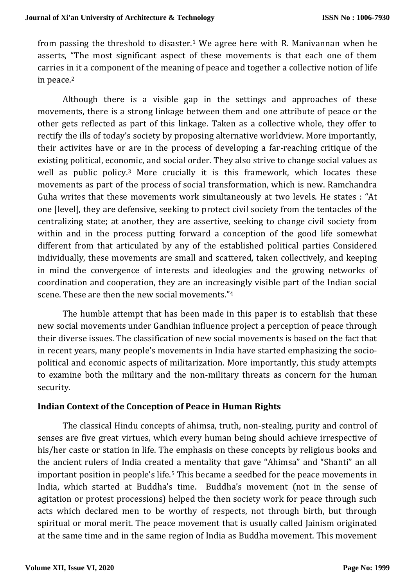from passing the threshold to disaster.<sup>1</sup> We agree here with R. Manivannan when he asserts, "The most significant aspect of these movements is that each one of them carries in it a component of the meaning of peace and together a collective notion of life in peace.<sup>2</sup>

Although there is a visible gap in the settings and approaches of these movements, there is a strong linkage between them and one attribute of peace or the other gets reflected as part of this linkage. Taken as a collective whole, they offer to rectify the ills of today's society by proposing alternative worldview. More importantly, their activites have or are in the process of developing a far-reaching critique of the existing political, economic, and social order. They also strive to change social values as well as public policy.<sup>3</sup> More crucially it is this framework, which locates these movements as part of the process of social transformation, which is new. Ramchandra Guha writes that these movements work simultaneously at two levels. He states : "At one [level], they are defensive, seeking to protect civil society from the tentacles of the centralizing state; at another, they are assertive, seeking to change civil society from within and in the process putting forward a conception of the good life somewhat different from that articulated by any of the established political parties Considered individually, these movements are small and scattered, taken collectively, and keeping in mind the convergence of interests and ideologies and the growing networks of coordination and cooperation, they are an increasingly visible part of the Indian social scene. These are then the new social movements."<sup>4</sup>

The humble attempt that has been made in this paper is to establish that these new social movements under Gandhian influence project a perception of peace through their diverse issues. The classification of new social movements is based on the fact that in recent years, many people's movements in India have started emphasizing the sociopolitical and economic aspects of militarization. More importantly, this study attempts to examine both the military and the non-military threats as concern for the human security.

### **Indian Context of the Conception of Peace in Human Rights**

The classical Hindu concepts of ahimsa, truth, non-stealing, purity and control of senses are five great virtues, which every human being should achieve irrespective of his/her caste or station in life. The emphasis on these concepts by religious books and the ancient rulers of India created a mentality that gave "Ahimsa" and "Shanti" an all important position in people's life.<sup>5</sup> This became a seedbed for the peace movements in India, which started at Buddha's time. Buddha's movement (not in the sense of agitation or protest processions) helped the then society work for peace through such acts which declared men to be worthy of respects, not through birth, but through spiritual or moral merit. The peace movement that is usually called Jainism originated at the same time and in the same region of India as Buddha movement. This movement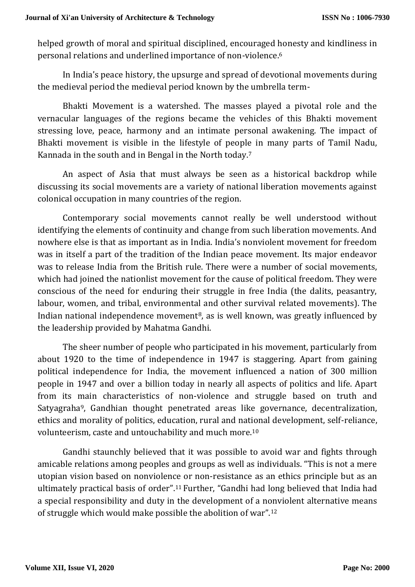helped growth of moral and spiritual disciplined, encouraged honesty and kindliness in personal relations and underlined importance of non-violence.<sup>6</sup>

In India's peace history, the upsurge and spread of devotional movements during the medieval period the medieval period known by the umbrella term-

Bhakti Movement is a watershed. The masses played a pivotal role and the vernacular languages of the regions became the vehicles of this Bhakti movement stressing love, peace, harmony and an intimate personal awakening. The impact of Bhakti movement is visible in the lifestyle of people in many parts of Tamil Nadu, Kannada in the south and in Bengal in the North today.<sup>7</sup>

An aspect of Asia that must always be seen as a historical backdrop while discussing its social movements are a variety of national liberation movements against colonical occupation in many countries of the region.

Contemporary social movements cannot really be well understood without identifying the elements of continuity and change from such liberation movements. And nowhere else is that as important as in India. India's nonviolent movement for freedom was in itself a part of the tradition of the Indian peace movement. Its major endeavor was to release India from the British rule. There were a number of social movements, which had joined the nationlist movement for the cause of political freedom. They were conscious of the need for enduring their struggle in free India (the dalits, peasantry, labour, women, and tribal, environmental and other survival related movements). The Indian national independence movement<sup>8</sup>, as is well known, was greatly influenced by the leadership provided by Mahatma Gandhi.

The sheer number of people who participated in his movement, particularly from about 1920 to the time of independence in 1947 is staggering. Apart from gaining political independence for India, the movement influenced a nation of 300 million people in 1947 and over a billion today in nearly all aspects of politics and life. Apart from its main characteristics of non-violence and struggle based on truth and Satyagraha9, Gandhian thought penetrated areas like governance, decentralization, ethics and morality of politics, education, rural and national development, self-reliance, volunteerism, caste and untouchability and much more.<sup>10</sup>

Gandhi staunchly believed that it was possible to avoid war and fights through amicable relations among peoples and groups as well as individuals. "This is not a mere utopian vision based on nonviolence or non-resistance as an ethics principle but as an ultimately practical basis of order".11 Further, "Gandhi had long believed that India had a special responsibility and duty in the development of a nonviolent alternative means of struggle which would make possible the abolition of war".<sup>12</sup>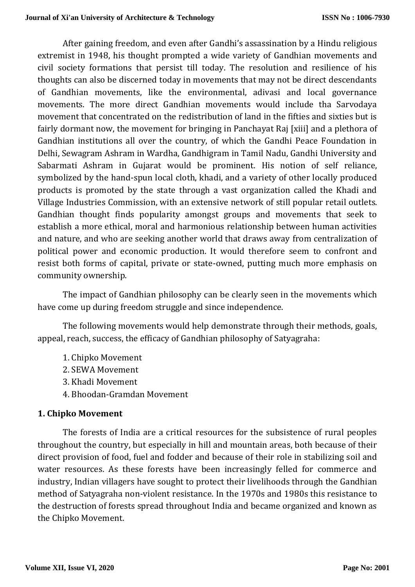After gaining freedom, and even after Gandhi's assassination by a Hindu religious extremist in 1948, his thought prompted a wide variety of Gandhian movements and civil society formations that persist till today. The resolution and resilience of his thoughts can also be discerned today in movements that may not be direct descendants of Gandhian movements, like the environmental, adivasi and local governance movements. The more direct Gandhian movements would include tha Sarvodaya movement that concentrated on the redistribution of land in the fifties and sixties but is fairly dormant now, the movement for bringing in Panchayat Raj [xiii] and a plethora of Gandhian institutions all over the country, of which the Gandhi Peace Foundation in Delhi, Sewagram Ashram in Wardha, Gandhigram in Tamil Nadu, Gandhi University and Sabarmati Ashram in Gujarat would be prominent. His notion of self reliance, symbolized by the hand-spun local cloth, khadi, and a variety of other locally produced products is promoted by the state through a vast organization called the Khadi and Village Industries Commission, with an extensive network of still popular retail outlets. Gandhian thought finds popularity amongst groups and movements that seek to establish a more ethical, moral and harmonious relationship between human activities and nature, and who are seeking another world that draws away from centralization of political power and economic production. It would therefore seem to confront and resist both forms of capital, private or state-owned, putting much more emphasis on community ownership.

The impact of Gandhian philosophy can be clearly seen in the movements which have come up during freedom struggle and since independence.

The following movements would help demonstrate through their methods, goals, appeal, reach, success, the efficacy of Gandhian philosophy of Satyagraha:

- 1. Chipko Movement
- 2. SEWA Movement
- 3. Khadi Movement
- 4. Bhoodan-Gramdan Movement

### **1. Chipko Movement**

The forests of India are a critical resources for the subsistence of rural peoples throughout the country, but especially in hill and mountain areas, both because of their direct provision of food, fuel and fodder and because of their role in stabilizing soil and water resources. As these forests have been increasingly felled for commerce and industry, Indian villagers have sought to protect their livelihoods through the Gandhian method of Satyagraha non-violent resistance. In the 1970s and 1980s this resistance to the destruction of forests spread throughout India and became organized and known as the Chipko Movement.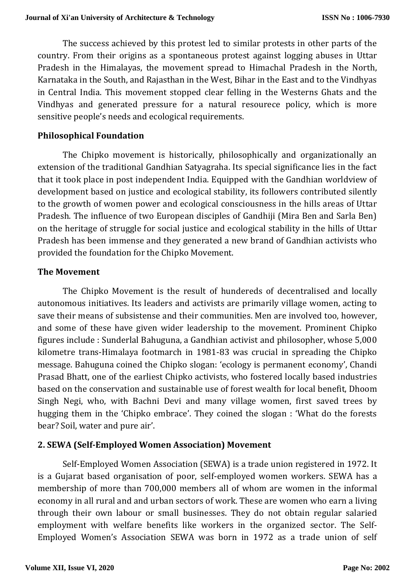The success achieved by this protest led to similar protests in other parts of the country. From their origins as a spontaneous protest against logging abuses in Uttar Pradesh in the Himalayas, the movement spread to Himachal Pradesh in the North, Karnataka in the South, and Rajasthan in the West, Bihar in the East and to the Vindhyas in Central India. This movement stopped clear felling in the Westerns Ghats and the Vindhyas and generated pressure for a natural resourece policy, which is more sensitive people's needs and ecological requirements.

#### **Philosophical Foundation**

The Chipko movement is historically, philosophically and organizationally an extension of the traditional Gandhian Satyagraha. Its special significance lies in the fact that it took place in post independent India. Equipped with the Gandhian worldview of development based on justice and ecological stability, its followers contributed silently to the growth of women power and ecological consciousness in the hills areas of Uttar Pradesh. The influence of two European disciples of Gandhiji (Mira Ben and Sarla Ben) on the heritage of struggle for social justice and ecological stability in the hills of Uttar Pradesh has been immense and they generated a new brand of Gandhian activists who provided the foundation for the Chipko Movement.

#### **The Movement**

The Chipko Movement is the result of hundereds of decentralised and locally autonomous initiatives. Its leaders and activists are primarily village women, acting to save their means of subsistense and their communities. Men are involved too, however, and some of these have given wider leadership to the movement. Prominent Chipko figures include : Sunderlal Bahuguna, a Gandhian activist and philosopher, whose 5,000 kilometre trans-Himalaya footmarch in 1981-83 was crucial in spreading the Chipko message. Bahuguna coined the Chipko slogan: 'ecology is permanent economy', Chandi Prasad Bhatt, one of the earliest Chipko activists, who fostered locally based industries based on the conservation and sustainable use of forest wealth for local benefit, Dhoom Singh Negi, who, with Bachni Devi and many village women, first saved trees by hugging them in the 'Chipko embrace'. They coined the slogan : 'What do the forests bear? Soil, water and pure air'.

### **2. SEWA (Self-Employed Women Association) Movement**

Self-Employed Women Association (SEWA) is a trade union registered in 1972. It is a Gujarat based organisation of poor, self-employed women workers. SEWA has a membership of more than 700,000 members all of whom are women in the informal economy in all rural and and urban sectors of work. These are women who earn a living through their own labour or small businesses. They do not obtain regular salaried employment with welfare benefits like workers in the organized sector. The Self-Employed Women's Association SEWA was born in 1972 as a trade union of self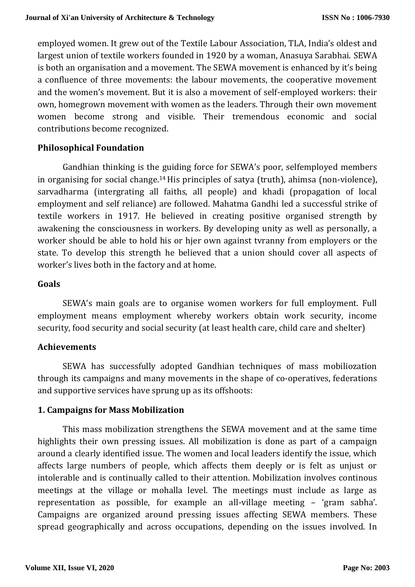employed women. It grew out of the Textile Labour Association, TLA, India's oldest and largest union of textile workers founded in 1920 by a woman, Anasuya Sarabhai. SEWA is both an organisation and a movement. The SEWA movement is enhanced by it's being a confluence of three movements: the labour movements, the cooperative movement and the women's movement. But it is also a movement of self-employed workers: their own, homegrown movement with women as the leaders. Through their own movement women become strong and visible. Their tremendous economic and social contributions become recognized.

# **Philosophical Foundation**

Gandhian thinking is the guiding force for SEWA's poor, selfemployed members in organising for social change.14 His principles of satya (truth), ahimsa (non-violence), sarvadharma (intergrating all faiths, all people) and khadi (propagation of local employment and self reliance) are followed. Mahatma Gandhi led a successful strike of textile workers in 1917. He believed in creating positive organised strength by awakening the consciousness in workers. By developing unity as well as personally, a worker should be able to hold his or hjer own against tvranny from employers or the state. To develop this strength he believed that a union should cover all aspects of worker's lives both in the factory and at home.

### **Goals**

SEWA's main goals are to organise women workers for full employment. Full employment means employment whereby workers obtain work security, income security, food security and social security (at least health care, child care and shelter)

### **Achievements**

SEWA has successfully adopted Gandhian techniques of mass mobiliozation through its campaigns and many movements in the shape of co-operatives, federations and supportive services have sprung up as its offshoots:

### **1. Campaigns for Mass Mobilization**

This mass mobilization strengthens the SEWA movement and at the same time highlights their own pressing issues. All mobilization is done as part of a campaign around a clearly identified issue. The women and local leaders identify the issue, which affects large numbers of people, which affects them deeply or is felt as unjust or intolerable and is continually called to their attention. Mobilization involves continous meetings at the village or mohalla level. The meetings must include as large as representation as possible, for example an all-village meeting – 'gram sabha'. Campaigns are organized around pressing issues affecting SEWA members. These spread geographically and across occupations, depending on the issues involved. In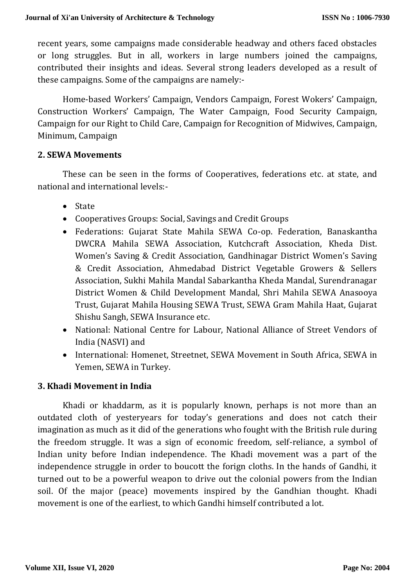recent years, some campaigns made considerable headway and others faced obstacles or long struggles. But in all, workers in large numbers joined the campaigns, contributed their insights and ideas. Several strong leaders developed as a result of these campaigns. Some of the campaigns are namely:-

Home-based Workers' Campaign, Vendors Campaign, Forest Wokers' Campaign, Construction Workers' Campaign, The Water Campaign, Food Security Campaign, Campaign for our Right to Child Care, Campaign for Recognition of Midwives, Campaign, Minimum, Campaign

### **2. SEWA Movements**

These can be seen in the forms of Cooperatives, federations etc. at state, and national and international levels:-

- State
- Cooperatives Groups: Social, Savings and Credit Groups
- Federations: Gujarat State Mahila SEWA Co-op. Federation, Banaskantha DWCRA Mahila SEWA Association, Kutchcraft Association, Kheda Dist. Women's Saving & Credit Association, Gandhinagar District Women's Saving & Credit Association, Ahmedabad District Vegetable Growers & Sellers Association, Sukhi Mahila Mandal Sabarkantha Kheda Mandal, Surendranagar District Women & Child Development Mandal, Shri Mahila SEWA Anasooya Trust, Gujarat Mahila Housing SEWA Trust, SEWA Gram Mahila Haat, Gujarat Shishu Sangh, SEWA Insurance etc.
- National: National Centre for Labour, National Alliance of Street Vendors of India (NASVI) and
- International: Homenet, Streetnet, SEWA Movement in South Africa, SEWA in Yemen, SEWA in Turkey.

# **3. Khadi Movement in India**

Khadi or khaddarm, as it is popularly known, perhaps is not more than an outdated cloth of yesteryears for today's generations and does not catch their imagination as much as it did of the generations who fought with the British rule during the freedom struggle. It was a sign of economic freedom, self-reliance, a symbol of Indian unity before Indian independence. The Khadi movement was a part of the independence struggle in order to boucott the forign cloths. In the hands of Gandhi, it turned out to be a powerful weapon to drive out the colonial powers from the Indian soil. Of the major (peace) movements inspired by the Gandhian thought. Khadi movement is one of the earliest, to which Gandhi himself contributed a lot.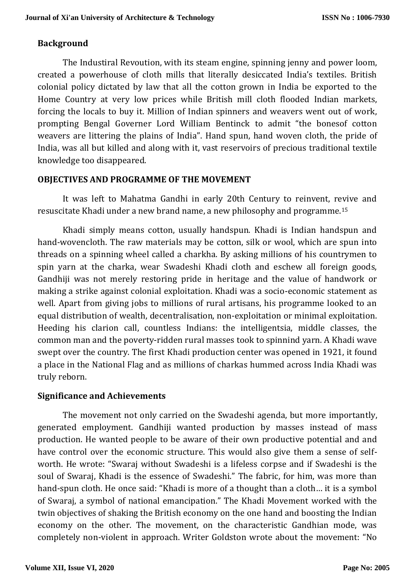## **Background**

The Industiral Revoution, with its steam engine, spinning jenny and power loom, created a powerhouse of cloth mills that literally desiccated India's textiles. British colonial policy dictated by law that all the cotton grown in India be exported to the Home Country at very low prices while British mill cloth flooded Indian markets, forcing the locals to buy it. Million of Indian spinners and weavers went out of work, prompting Bengal Governer Lord William Bentinck to admit "the bonesof cotton weavers are littering the plains of India". Hand spun, hand woven cloth, the pride of India, was all but killed and along with it, vast reservoirs of precious traditional textile knowledge too disappeared.

## **OBJECTIVES AND PROGRAMME OF THE MOVEMENT**

It was left to Mahatma Gandhi in early 20th Century to reinvent, revive and resuscitate Khadi under a new brand name, a new philosophy and programme.<sup>15</sup>

Khadi simply means cotton, usually handspun. Khadi is Indian handspun and hand-wovencloth. The raw materials may be cotton, silk or wool, which are spun into threads on a spinning wheel called a charkha. By asking millions of his countrymen to spin yarn at the charka, wear Swadeshi Khadi cloth and eschew all foreign goods, Gandhiji was not merely restoring pride in heritage and the value of handwork or making a strike against colonial exploitation. Khadi was a socio-economic statement as well. Apart from giving jobs to millions of rural artisans, his programme looked to an equal distribution of wealth, decentralisation, non-exploitation or minimal exploitation. Heeding his clarion call, countless Indians: the intelligentsia, middle classes, the common man and the poverty-ridden rural masses took to spinnind yarn. A Khadi wave swept over the country. The first Khadi production center was opened in 1921, it found a place in the National Flag and as millions of charkas hummed across India Khadi was truly reborn.

### **Significance and Achievements**

The movement not only carried on the Swadeshi agenda, but more importantly, generated employment. Gandhiji wanted production by masses instead of mass production. He wanted people to be aware of their own productive potential and and have control over the economic structure. This would also give them a sense of selfworth. He wrote: "Swaraj without Swadeshi is a lifeless corpse and if Swadeshi is the soul of Swaraj, Khadi is the essence of Swadeshi." The fabric, for him, was more than hand-spun cloth. He once said: "Khadi is more of a thought than a cloth… it is a symbol of Swaraj, a symbol of national emancipation." The Khadi Movement worked with the twin objectives of shaking the British economy on the one hand and boosting the Indian economy on the other. The movement, on the characteristic Gandhian mode, was completely non-violent in approach. Writer Goldston wrote about the movement: "No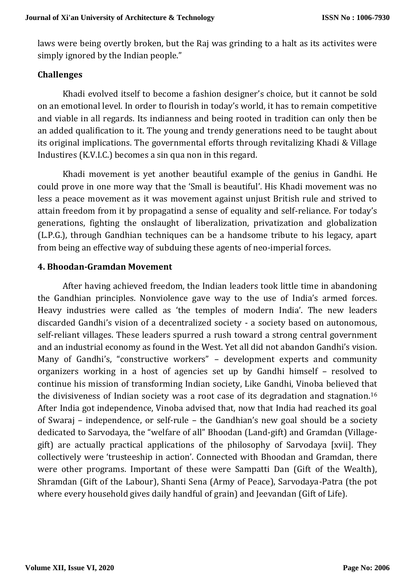laws were being overtly broken, but the Raj was grinding to a halt as its activites were simply ignored by the Indian people."

### **Challenges**

Khadi evolved itself to become a fashion designer's choice, but it cannot be sold on an emotional level. In order to flourish in today's world, it has to remain competitive and viable in all regards. Its indianness and being rooted in tradition can only then be an added qualification to it. The young and trendy generations need to be taught about its original implications. The governmental efforts through revitalizing Khadi & Village Industires (K.V.I.C.) becomes a sin qua non in this regard.

Khadi movement is yet another beautiful example of the genius in Gandhi. He could prove in one more way that the 'Small is beautiful'. His Khadi movement was no less a peace movement as it was movement against unjust British rule and strived to attain freedom from it by propagatind a sense of equality and self-reliance. For today's generations, fighting the onslaught of liberalization, privatization and globalization (L.P.G.), through Gandhian techniques can be a handsome tribute to his legacy, apart from being an effective way of subduing these agents of neo-imperial forces.

#### **4. Bhoodan-Gramdan Movement**

After having achieved freedom, the Indian leaders took little time in abandoning the Gandhian principles. Nonviolence gave way to the use of India's armed forces. Heavy industries were called as 'the temples of modern India'. The new leaders discarded Gandhi's vision of a decentralized society - a society based on autonomous, self-reliant villages. These leaders spurred a rush toward a strong central government and an industrial economy as found in the West. Yet all did not abandon Gandhi's vision. Many of Gandhi's, "constructive workers" – development experts and community organizers working in a host of agencies set up by Gandhi himself – resolved to continue his mission of transforming Indian society, Like Gandhi, Vinoba believed that the divisiveness of Indian society was a root case of its degradation and stagnation.<sup>16</sup> After India got independence, Vinoba advised that, now that India had reached its goal of Swaraj – independence, or self-rule – the Gandhian's new goal should be a society dedicated to Sarvodaya, the "welfare of all" Bhoodan (Land-gift) and Gramdan (Villagegift) are actually practical applications of the philosophy of Sarvodaya [xvii]. They collectively were 'trusteeship in action'. Connected with Bhoodan and Gramdan, there were other programs. Important of these were Sampatti Dan (Gift of the Wealth), Shramdan (Gift of the Labour), Shanti Sena (Army of Peace), Sarvodaya-Patra (the pot where every household gives daily handful of grain) and Jeevandan (Gift of Life).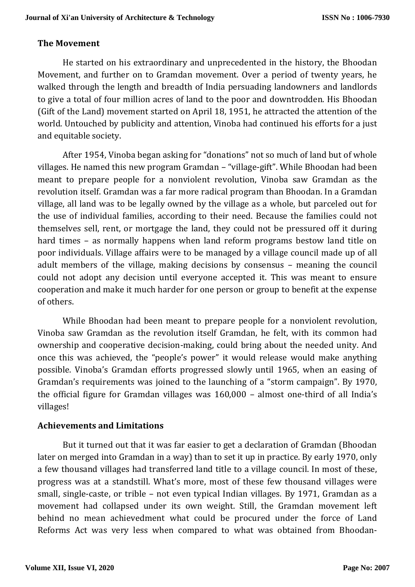## **The Movement**

He started on his extraordinary and unprecedented in the history, the Bhoodan Movement, and further on to Gramdan movement. Over a period of twenty years, he walked through the length and breadth of India persuading landowners and landlords to give a total of four million acres of land to the poor and downtrodden. His Bhoodan (Gift of the Land) movement started on April 18, 1951, he attracted the attention of the world. Untouched by publicity and attention, Vinoba had continued his efforts for a just and equitable society.

After 1954, Vinoba began asking for "donations" not so much of land but of whole villages. He named this new program Gramdan – "village-gift". While Bhoodan had been meant to prepare people for a nonviolent revolution, Vinoba saw Gramdan as the revolution itself. Gramdan was a far more radical program than Bhoodan. In a Gramdan village, all land was to be legally owned by the village as a whole, but parceled out for the use of individual families, according to their need. Because the families could not themselves sell, rent, or mortgage the land, they could not be pressured off it during hard times – as normally happens when land reform programs bestow land title on poor individuals. Village affairs were to be managed by a village council made up of all adult members of the village, making decisions by consensus – meaning the council could not adopt any decision until everyone accepted it. This was meant to ensure cooperation and make it much harder for one person or group to benefit at the expense of others.

While Bhoodan had been meant to prepare people for a nonviolent revolution, Vinoba saw Gramdan as the revolution itself Gramdan, he felt, with its common had ownership and cooperative decision-making, could bring about the needed unity. And once this was achieved, the "people's power" it would release would make anything possible. Vinoba's Gramdan efforts progressed slowly until 1965, when an easing of Gramdan's requirements was joined to the launching of a "storm campaign". By 1970, the official figure for Gramdan villages was 160,000 – almost one-third of all India's villages!

### **Achievements and Limitations**

But it turned out that it was far easier to get a declaration of Gramdan (Bhoodan later on merged into Gramdan in a way) than to set it up in practice. By early 1970, only a few thousand villages had transferred land title to a village council. In most of these, progress was at a standstill. What's more, most of these few thousand villages were small, single-caste, or trible – not even typical Indian villages. By 1971, Gramdan as a movement had collapsed under its own weight. Still, the Gramdan movement left behind no mean achievedment what could be procured under the force of Land Reforms Act was very less when compared to what was obtained from Bhoodan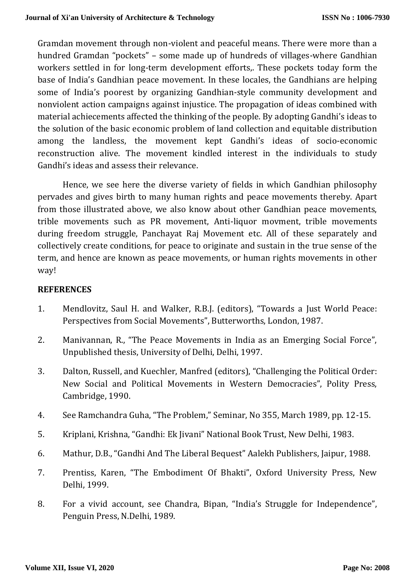Gramdan movement through non-violent and peaceful means. There were more than a hundred Gramdan "pockets" – some made up of hundreds of villages-where Gandhian workers settled in for long-term development efforts,. These pockets today form the base of India's Gandhian peace movement. In these locales, the Gandhians are helping some of India's poorest by organizing Gandhian-style community development and nonviolent action campaigns against injustice. The propagation of ideas combined with material achiecements affected the thinking of the people. By adopting Gandhi's ideas to the solution of the basic economic problem of land collection and equitable distribution among the landless, the movement kept Gandhi's ideas of socio-economic reconstruction alive. The movement kindled interest in the individuals to study Gandhi's ideas and assess their relevance.

Hence, we see here the diverse variety of fields in which Gandhian philosophy pervades and gives birth to many human rights and peace movements thereby. Apart from those illustrated above, we also know about other Gandhian peace movements, trible movements such as PR movement, Anti-liquor movment, trible movements during freedom struggle, Panchayat Raj Movement etc. All of these separately and collectively create conditions, for peace to originate and sustain in the true sense of the term, and hence are known as peace movements, or human rights movements in other way!

#### **REFERENCES**

- 1. Mendlovitz, Saul H. and Walker, R.B.J. (editors), "Towards a Just World Peace: Perspectives from Social Movements", Butterworths, London, 1987.
- 2. Manivannan, R., "The Peace Movements in India as an Emerging Social Force", Unpublished thesis, University of Delhi, Delhi, 1997.
- 3. Dalton, Russell, and Kuechler, Manfred (editors), "Challenging the Political Order: New Social and Political Movements in Western Democracies", Polity Press, Cambridge, 1990.
- 4. See Ramchandra Guha, "The Problem," Seminar, No 355, March 1989, pp. 12-15.
- 5. Kriplani, Krishna, "Gandhi: Ek Jivani" National Book Trust, New Delhi, 1983.
- 6. Mathur, D.B., "Gandhi And The Liberal Bequest" Aalekh Publishers, Jaipur, 1988.
- 7. Prentiss, Karen, "The Embodiment Of Bhakti", Oxford University Press, New Delhi, 1999.
- 8. For a vivid account, see Chandra, Bipan, "India's Struggle for Independence", Penguin Press, N.Delhi, 1989.